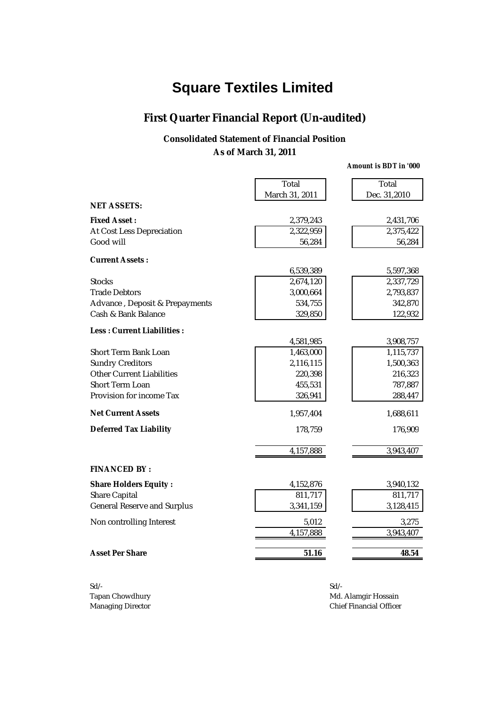## **First Quarter Financial Report (Un-audited)**

#### **Consolidated Statement of Financial Position As of March 31, 2011**

|                                | Total          | Total        |
|--------------------------------|----------------|--------------|
| <b>NET ASSETS:</b>             | March 31, 2011 | Dec. 31,2010 |
|                                |                |              |
| <b>Fixed Asset:</b>            | 2,379,243      | 2,431,706    |
| At Cost Less Depreciation      | 2,322,959      | 2,375,422    |
| Good will                      | 56,284         | 56,284       |
| <b>Current Assets:</b>         |                |              |
|                                | 6,539,389      | 5,597,368    |
| <b>Stocks</b>                  | 2,674,120      | 2,337,729    |
| <b>Trade Debtors</b>           | 3,000,664      | 2,793,837    |
| Advance, Deposit & Prepayments | 534,755        | 342,870      |
| Cash & Bank Balance            | 329,850        | 122,932      |
| Less: Current Liabilities:     |                |              |
|                                | 4,581,985      | 3,908,757    |
| Short Term Bank Loan           | 1,463,000      | 1,115,737    |
| <b>Sundry Creditors</b>        | 2,116,115      | 1,500,363    |
| Other Current Liabilities      | 220,398        | 216,323      |
| Short Term Loan                | 455,531        | 787,887      |
| Provision for income Tax       | 326,941        | 288,447      |
| <b>Net Current Assets</b>      | 1,957,404      | 1,688,611    |
| <b>Deferred Tax Liability</b>  | 178,759        | 176,909      |
|                                | 4,157,888      | 3,943,407    |
|                                |                |              |
| <b>FINANCED BY:</b>            |                |              |
| <b>Share Holders Equity:</b>   | 4,152,876      | 3,940,132    |
| Share Capital                  | 811,717        | 811,717      |
| General Reserve and Surplus    | 3,341,159      | 3,128,415    |
| Non controlling Interest       | 5,012          | 3,275        |
|                                | 4,157,888      | 3,943,407    |
| <b>Asset Per Share</b>         | 51.16          | 48.54        |
|                                |                |              |

Sd/- Sd/-

Tapan Chowdhury **Mathematics** Chowdhury **Mathematics** Mathematics Mathematics Mathematics Mathematics Mathematics Mathematics Mathematics Mathematics Mathematics Mathematics Mathematics Mathematics Mathematics Mathematics Managing Director **Chief Financial Officer** Chief Financial Officer

*Amount is BDT in '000*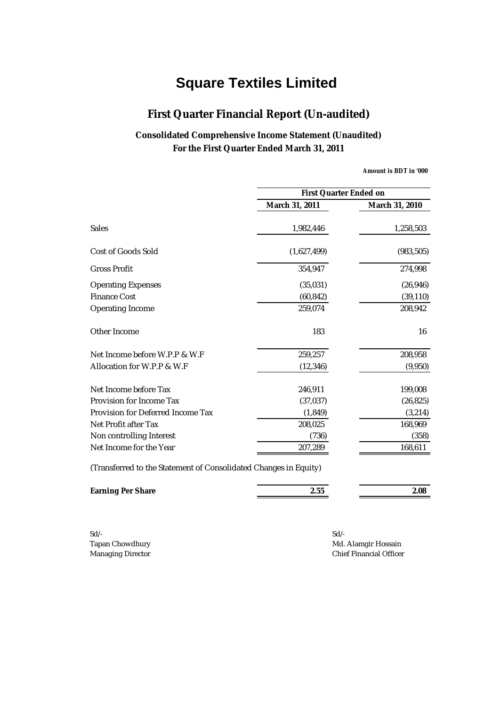## **First Quarter Financial Report (Un-audited)**

### **Consolidated Comprehensive Income Statement (Unaudited) For the First Quarter Ended March 31, 2011**

*Amount is BDT in '000*

|                                                                  |                | <b>First Quarter Ended on</b> |  |
|------------------------------------------------------------------|----------------|-------------------------------|--|
|                                                                  | March 31, 2011 | March 31, 2010                |  |
| Sales                                                            | 1,982,446      | 1,258,503                     |  |
| Cost of Goods Sold                                               | (1,627,499)    | (983, 505)                    |  |
| <b>Gross Profit</b>                                              | 354,947        | 274,998                       |  |
| <b>Operating Expenses</b>                                        | (35,031)       | (26, 946)                     |  |
| <b>Finance Cost</b>                                              | (60, 842)      | (39, 110)                     |  |
| Operating Income                                                 | 259,074        | 208,942                       |  |
| Other Income                                                     | 183            | 16                            |  |
| Net Income before W.P.P & W.F.                                   | 259,257        | 208,958                       |  |
| Allocation for W.P.P & W.F                                       | (12, 346)      | (9,950)                       |  |
| Net Income before Tax                                            | 246,911        | 199,008                       |  |
| Provision for Income Tax                                         | (37, 037)      | (26, 825)                     |  |
| Provision for Deferred Income Tax                                | (1, 849)       | (3, 214)                      |  |
| Net Profit after Tax                                             | 208,025        | 168,969                       |  |
| Non controlling Interest                                         | (736)          | (358)                         |  |
| Net Income for the Year                                          | 207,289        | 168,611                       |  |
| (Transferred to the Statement of Consolidated Changes in Equity) |                |                               |  |

| <b>Earning Per Share</b> | . | 2.08 |
|--------------------------|---|------|
|                          |   |      |

Sd/- Sd/-

Tapan Chowdhury **Mathematics** Chowdhury **Mathematics** Mathematics Mathematics Mathematics Mathematics Mathematics Mathematics Mathematics Mathematics Mathematics Mathematics Mathematics Mathematics Mathematics Mathematics Managing Director **Chief Financial Officer** Chief Financial Officer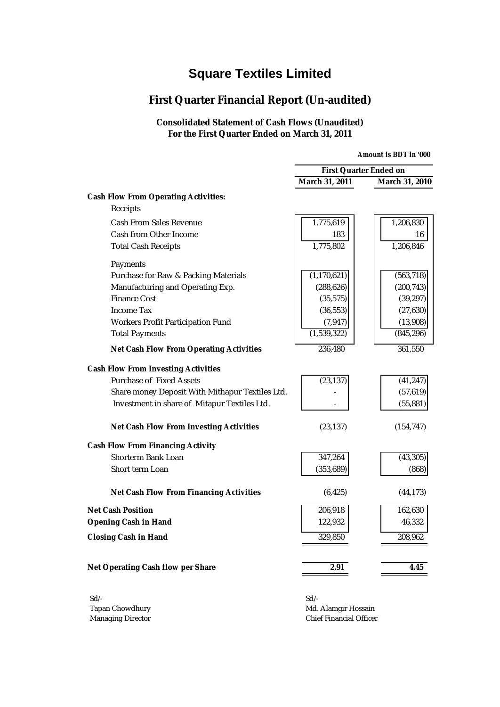## **First Quarter Financial Report (Un-audited)**

#### **Consolidated Statement of Cash Flows (Unaudited) For the First Quarter Ended on March 31, 2011**

|                                                 | <b>Amount is BDT in '000</b>  |                |
|-------------------------------------------------|-------------------------------|----------------|
|                                                 | <b>First Quarter Ended on</b> |                |
|                                                 | March 31, 2011                | March 31, 2010 |
| <b>Cash Flow From Operating Activities:</b>     |                               |                |
| Receipts                                        |                               |                |
| Cash From Sales Revenue                         | 1,775,619                     | 1,206,830      |
| Cash from Other Income                          | 183                           | 16             |
| <b>Total Cash Receipts</b>                      | 1,775,802                     | 1,206,846      |
| Payments                                        |                               |                |
| Purchase for Raw & Packing Materials            | (1, 170, 621)                 | (563, 718)     |
| Manufacturing and Operating Exp.                | (288, 626)                    | (200, 743)     |
| <b>Finance Cost</b>                             | (35, 575)                     | (39, 297)      |
| Income Tax                                      | (36, 553)                     | (27, 630)      |
| Workers Profit Participation Fund               | (7, 947)                      | (13,908)       |
| <b>Total Payments</b>                           | (1,539,322)                   | (845, 296)     |
| <b>Net Cash Flow From Operating Activities</b>  | 236,480                       | 361,550        |
| <b>Cash Flow From Investing Activities</b>      |                               |                |
| Purchase of Fixed Assets                        | (23, 137)                     | (41, 247)      |
| Share money Deposit With Mithapur Textiles Ltd. |                               | (57, 619)      |
| Investment in share of Mitapur Textiles Ltd.    |                               | (55, 881)      |
| <b>Net Cash Flow From Investing Activities</b>  | (23, 137)                     | (154, 747)     |
| <b>Cash Flow From Financing Activity</b>        |                               |                |
| Shorterm Bank Loan                              | 347,264                       | (43, 305)      |
| Short term Loan                                 | (353, 689)                    | (868)          |
| <b>Net Cash Flow From Financing Activities</b>  | (6, 425)                      | (44, 173)      |
| <b>Net Cash Position</b>                        | 206,918                       | 162,630        |
| <b>Opening Cash in Hand</b>                     | 122,932                       | 46,332         |
| <b>Closing Cash in Hand</b>                     | 329,850                       | 208,962        |
| Net Operating Cash flow per Share               | 2.91                          | 4.45           |
| $S$ d/-                                         | N                             |                |

Sd/- Sd/- Tapan Chowdhury **Mathematic State of Table 2018** Md. Alamgir Hossain Managing Director **Chief Financial Officer** Chief Financial Officer